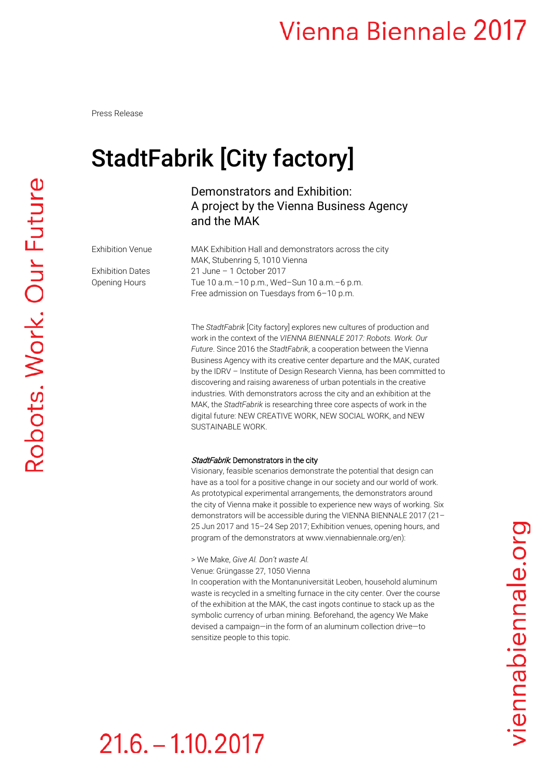Press Release

## StadtFabrik [City factory]

### Demonstrators and Exhibition: A project by the Vienna Business Agency and the MAK

Exhibition Venue MAK Exhibition Hall and demonstrators across the city MAK, Stubenring 5, 1010 Vienna Exhibition Dates 21 June – 1 October 2017 Opening Hours Tue 10 a.m.–10 p.m., Wed–Sun 10 a.m.–6 p.m. Free admission on Tuesdays from 6–10 p.m.

> The *StadtFabrik* [City factory] explores new cultures of production and work in the context of the *VIENNA BIENNALE 2017: Robots. Work. Our Future*. Since 2016 the *StadtFabrik*, a cooperation between the Vienna Business Agency with its creative center departure and the MAK, curated by the IDRV – Institute of Design Research Vienna, has been committed to discovering and raising awareness of urban potentials in the creative industries. With demonstrators across the city and an exhibition at the MAK, the *StadtFabrik* is researching three core aspects of work in the digital future: NEW CREATIVE WORK, NEW SOCIAL WORK, and NEW SUSTAINABLE WORK.

#### StadtFabrik: Demonstrators in the city

Visionary, feasible scenarios demonstrate the potential that design can have as a tool for a positive change in our society and our world of work. As prototypical experimental arrangements, the demonstrators around the city of Vienna make it possible to experience new ways of working. Six demonstrators will be accessible during the VIENNA BIENNALE 2017 (21– 25 Jun 2017 and 15–24 Sep 2017; Exhibition venues, opening hours, and program of the demonstrators at www.viennabiennale.org/en):

### > We Make, *Give Al. Don't waste Al.*

Venue: Grüngasse 27, 1050 Vienna

In cooperation with the Montanuniversität Leoben, household aluminum waste is recycled in a smelting furnace in the city center. Over the course of the exhibition at the MAK, the cast ingots continue to stack up as the symbolic currency of urban mining. Beforehand, the agency We Make devised a campaign—in the form of an aluminum collection drive—to sensitize people to this topic.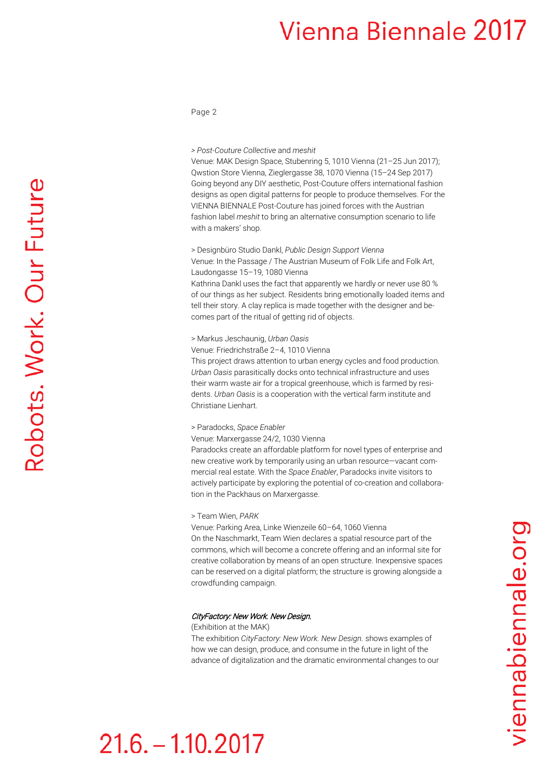Page 2

#### *> Post-Couture Collective* and *meshit*

Venue: MAK Design Space, Stubenring 5, 1010 Vienna (21–25 Jun 2017); Qwstion Store Vienna, Zieglergasse 38, 1070 Vienna (15–24 Sep 2017) Going beyond any DIY aesthetic, Post-Couture offers international fashion designs as open digital patterns for people to produce themselves. For the VIENNA BIENNALE Post-Couture has joined forces with the Austrian fashion label *meshit* to bring an alternative consumption scenario to life with a makers' shop.

> Designbüro Studio Dankl, *Public Design Support Vienna* Venue: In the Passage / The Austrian Museum of Folk Life and Folk Art, Laudongasse 15–19, 1080 Vienna

Kathrina Dankl uses the fact that apparently we hardly or never use 80 % of our things as her subject. Residents bring emotionally loaded items and tell their story. A clay replica is made together with the designer and becomes part of the ritual of getting rid of objects.

> Markus Jeschaunig, *Urban Oasis*

Venue: Friedrichstraße 2–4, 1010 Vienna

This project draws attention to urban energy cycles and food production. *Urban Oasis* parasitically docks onto technical infrastructure and uses their warm waste air for a tropical greenhouse, which is farmed by residents. *Urban Oasis* is a cooperation with the vertical farm institute and Christiane Lienhart.

#### > Paradocks, *Space Enabler*

Venue: Marxergasse 24/2, 1030 Vienna

Paradocks create an affordable platform for novel types of enterprise and new creative work by temporarily using an urban resource—vacant commercial real estate. With the *Space Enabler*, Paradocks invite visitors to actively participate by exploring the potential of co-creation and collaboration in the Packhaus on Marxergasse.

#### > Team Wien, *PARK*

Venue: Parking Area, Linke Wienzeile 60–64, 1060 Vienna On the Naschmarkt, Team Wien declares a spatial resource part of the commons, which will become a concrete offering and an informal site for creative collaboration by means of an open structure. Inexpensive spaces can be reserved on a digital platform; the structure is growing alongside a crowdfunding campaign.

#### CityFactory: New Work. New Design.

(Exhibition at the MAK)

The exhibition *CityFactory: New Work. New Design.* shows examples of how we can design, produce, and consume in the future in light of the advance of digitalization and the dramatic environmental changes to our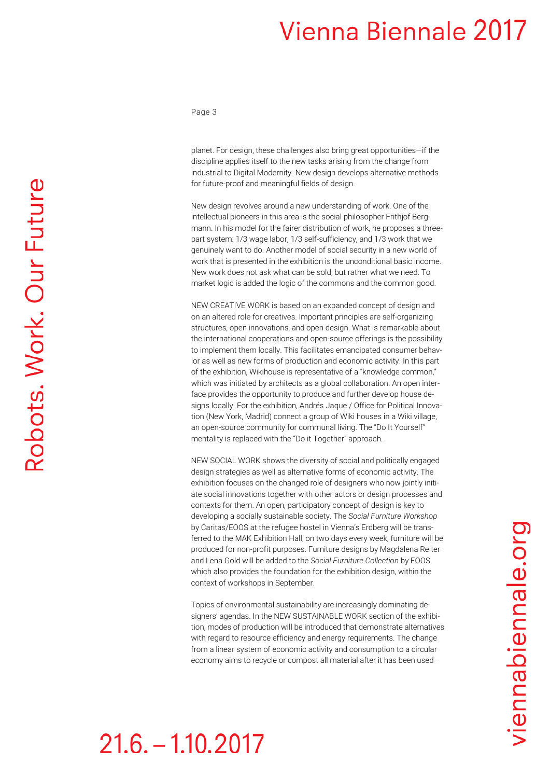Page 3

planet. For design, these challenges also bring great opportunities—if the discipline applies itself to the new tasks arising from the change from industrial to Digital Modernity. New design develops alternative methods for future-proof and meaningful fields of design.

New design revolves around a new understanding of work. One of the intellectual pioneers in this area is the social philosopher Frithjof Bergmann. In his model for the fairer distribution of work, he proposes a threepart system: 1/3 [wage labor,](https://de.wikipedia.org/wiki/Erwerbsarbeit) 1/3 self-sufficiency, and 1/3 work that we genuinely want to do. Another model of social security in a new world of work that is presented in the exhibition is the unconditional basic income. New work does not ask what can be sold, but rather what we need. To market logic is added the logic of the commons and the common good.

NEW CREATIVE WORK is based on an expanded concept of design and on an altered role for creatives. Important principles are self-organizing structures, open innovations, and open design. What is remarkable about the international cooperations and open-source offerings is the possibility to implement them locally. This facilitates emancipated consumer behavior as well as new forms of production and economic activity. In this part of the exhibition, Wikihouse is representative of a "knowledge common," which was initiated by architects as a global collaboration. An open interface provides the opportunity to produce and further develop house designs locally. For the exhibition, Andrés Jaque / Office for Political Innovation (New York, Madrid) connect a group of Wiki houses in a Wiki village, an open-source community for communal living. The "Do It Yourself" mentality is replaced with the "Do it Together" approach.

NEW SOCIAL WORK shows the diversity of social and politically engaged design strategies as well as alternative forms of economic activity. The exhibition focuses on the changed role of designers who now jointly initiate social innovations together with other actors or design processes and contexts for them. An open, participatory concept of design is key to developing a socially sustainable society. The *Social Furniture Workshop* by Caritas/EOOS at the refugee hostel in Vienna's Erdberg will be transferred to the MAK Exhibition Hall; on two days every week, furniture will be produced for non-profit purposes. Furniture designs by Magdalena Reiter and Lena Gold will be added to the *Social Furniture Collection* by EOOS, which also provides the foundation for the exhibition design, within the context of workshops in September.

Topics of environmental sustainability are increasingly dominating designers' agendas. In the NEW SUSTAINABLE WORK section of the exhibition, modes of production will be introduced that demonstrate alternatives with regard to resource efficiency and energy requirements. The change from a linear system of economic activity and consumption to a circular economy aims to recycle or compost all material after it has been usedviennabiennale.org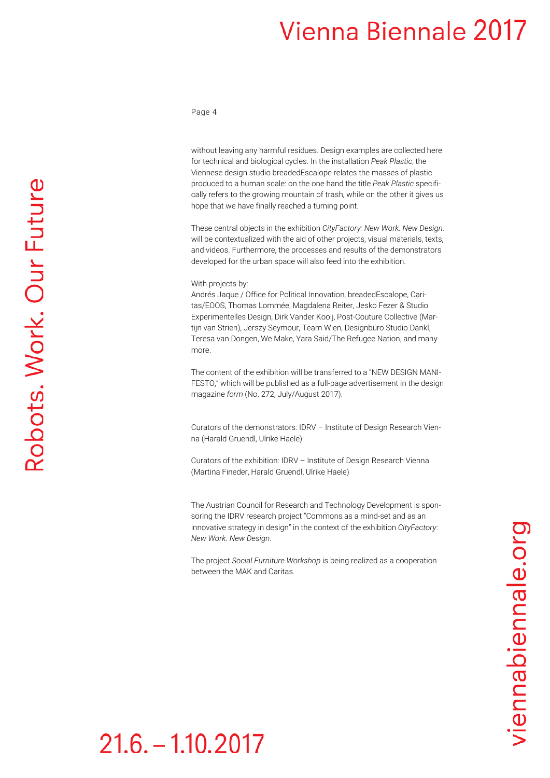#### Page 4

without leaving any harmful residues. Design examples are collected here for technical and biological cycles. In the installation *Peak Plastic*, the Viennese design studio breadedEscalope relates the masses of plastic produced to a human scale: on the one hand the title *Peak Plastic* specifically refers to the growing mountain of trash, while on the other it gives us hope that we have finally reached a turning point.

These central objects in the exhibition *CityFactory: New Work. New Design.* will be contextualized with the aid of other projects, visual materials, texts, and videos. Furthermore, the processes and results of the demonstrators developed for the urban space will also feed into the exhibition.

#### With projects by:

Andrés Jaque / Office for Political Innovation, breadedEscalope, Caritas/EOOS, Thomas Lommée, Magdalena Reiter, Jesko Fezer & Studio Experimentelles Design, Dirk Vander Kooij, Post-Couture Collective (Martijn van Strien), Jerszy Seymour, Team Wien, Designbüro Studio Dankl, Teresa van Dongen, We Make, Yara Said/The Refugee Nation, and many more.

The content of the exhibition will be transferred to a "NEW DESIGN MANI-FESTO," which will be published as a full-page advertisement in the design magazine *form* (No. 272, July/August 2017).

Curators of the demonstrators: IDRV – Institute of Design Research Vienna (Harald Gruendl, Ulrike Haele)

Curators of the exhibition: IDRV – Institute of Design Research Vienna (Martina Fineder, Harald Gruendl, Ulrike Haele)

The Austrian Council for Research and Technology Development is sponsoring the IDRV research project "Commons as a mind-set and as an innovative strategy in design" in the context of the exhibition *CityFactory*: *New Work. New Design.*

The project *Social Furniture Workshop* is being realized as a cooperation between the MAK and Caritas.